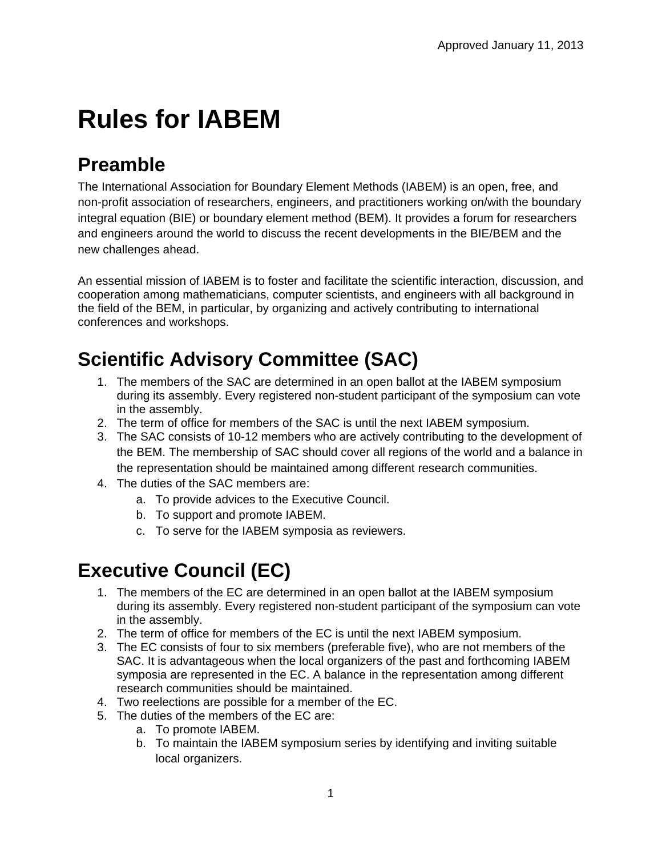# **Rules for IABEM**

# **Preamble**

The International Association for Boundary Element Methods (IABEM) is an open, free, and non-profit association of researchers, engineers, and practitioners working on/with the boundary integral equation (BIE) or boundary element method (BEM). It provides a forum for researchers and engineers around the world to discuss the recent developments in the BIE/BEM and the new challenges ahead.

An essential mission of IABEM is to foster and facilitate the scientific interaction, discussion, and cooperation among mathematicians, computer scientists, and engineers with all background in the field of the BEM, in particular, by organizing and actively contributing to international conferences and workshops.

## **Scientific Advisory Committee (SAC)**

- 1. The members of the SAC are determined in an open ballot at the IABEM symposium during its assembly. Every registered non-student participant of the symposium can vote in the assembly.
- 2. The term of office for members of the SAC is until the next IABEM symposium.
- 3. The SAC consists of 10-12 members who are actively contributing to the development of the BEM. The membership of SAC should cover all regions of the world and a balance in the representation should be maintained among different research communities.
- 4. The duties of the SAC members are:
	- a. To provide advices to the Executive Council.
	- b. To support and promote IABEM.
	- c. To serve for the IABEM symposia as reviewers.

# **Executive Council (EC)**

- 1. The members of the EC are determined in an open ballot at the IABEM symposium during its assembly. Every registered non-student participant of the symposium can vote in the assembly.
- 2. The term of office for members of the EC is until the next IABEM symposium.
- 3. The EC consists of four to six members (preferable five), who are not members of the SAC. It is advantageous when the local organizers of the past and forthcoming IABEM symposia are represented in the EC. A balance in the representation among different research communities should be maintained.
- 4. Two reelections are possible for a member of the EC.
- 5. The duties of the members of the EC are:
	- a. To promote IABEM.
	- b. To maintain the IABEM symposium series by identifying and inviting suitable local organizers.